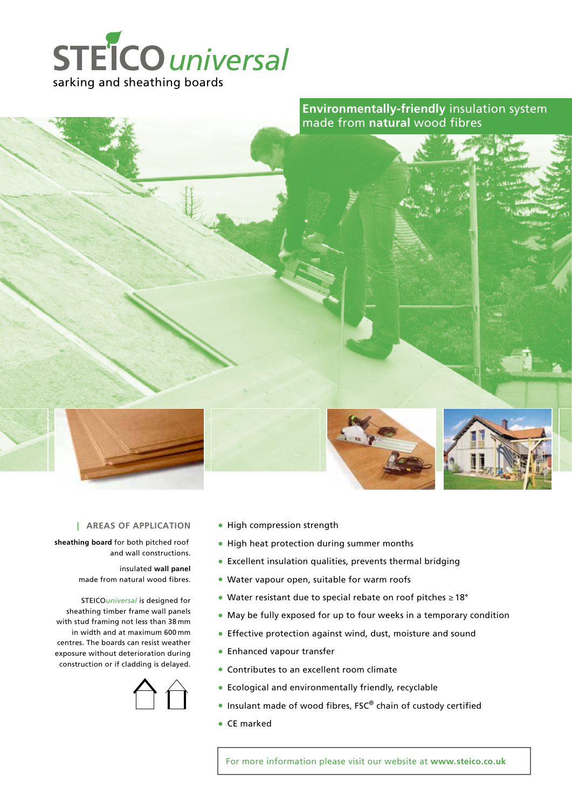

**Environmentally-friendly** insulation system made from **natural** wood fibres



**sheathing board** for both pitched roof and wall constructions.

> insulated **wall panel** made from natural wood fibres.

STEICO*universal* is designed for sheathing timber frame wall panels with stud framing not less than 38 mm in width and at maximum 600 mm centres. The boards can resist weather exposure without deterioration during construction or if cladding is delayed.



- High compression strength
- High heat protection during summer months
- Excellent insulation qualities, prevents thermal bridging
- Water vapour open, suitable for warm roofs
- Water resistant due to special rebate on roof pitches ≥ 18°
- May be fully exposed for up to four weeks in a temporary condition
- Effective protection against wind, dust, moisture and sound
- Enhanced vapour transfer
- Contributes to an excellent room climate
- Ecological and environmentally friendly, recyclable
- Insulant made of wood fibres, FSC® chain of custody certified
- CE marked

For more information please visit our website at **www.steico.co.uk**